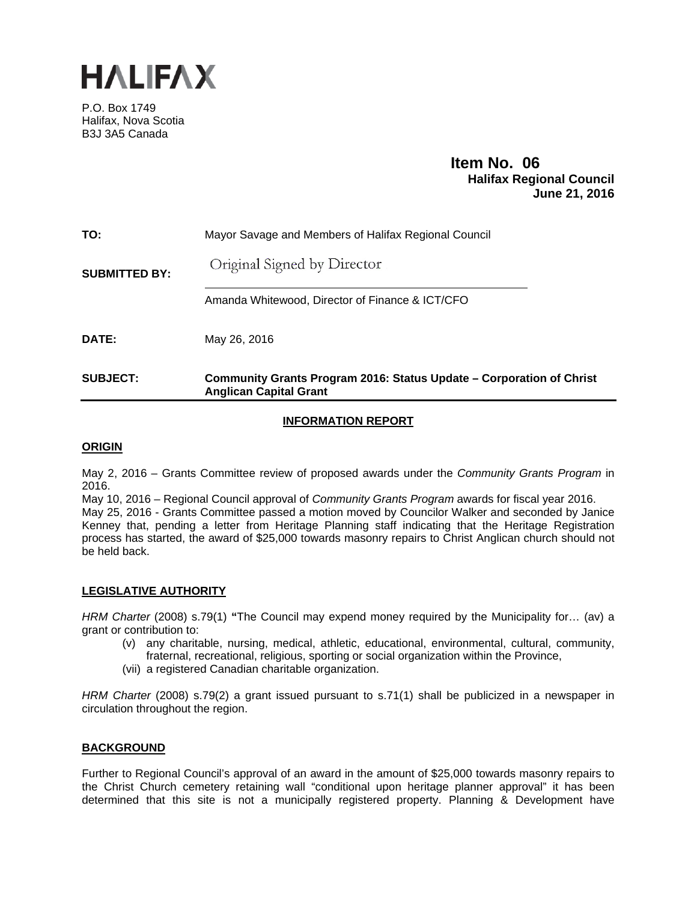

P.O. Box 1749 Halifax, Nova Scotia B3J 3A5 Canada

# **Item No. 06**<br>**Halifax Regional Council June 21, 2016**

| TO:                  | Mayor Savage and Members of Halifax Regional Council                                                  |
|----------------------|-------------------------------------------------------------------------------------------------------|
| <b>SUBMITTED BY:</b> | Original Signed by Director                                                                           |
|                      | Amanda Whitewood, Director of Finance & ICT/CFO                                                       |
| DATE:                | May 26, 2016                                                                                          |
| <b>SUBJECT:</b>      | Community Grants Program 2016: Status Update – Corporation of Christ<br><b>Anglican Capital Grant</b> |

# **INFORMATION REPORT**

## **ORIGIN**

May 2, 2016 – Grants Committee review of proposed awards under the *Community Grants Program* in 2016.

May 10, 2016 – Regional Council approval of *Community Grants Program* awards for fiscal year 2016. May 25, 2016 - Grants Committee passed a motion moved by Councilor Walker and seconded by Janice Kenney that, pending a letter from Heritage Planning staff indicating that the Heritage Registration process has started, the award of \$25,000 towards masonry repairs to Christ Anglican church should not be held back.

# **LEGISLATIVE AUTHORITY**

*HRM Charter* (2008) s.79(1) **"**The Council may expend money required by the Municipality for… (av) a grant or contribution to:

- (v) any charitable, nursing, medical, athletic, educational, environmental, cultural, community, fraternal, recreational, religious, sporting or social organization within the Province,
- (vii) a registered Canadian charitable organization.

*HRM Charter* (2008) s.79(2) a grant issued pursuant to s.71(1) shall be publicized in a newspaper in circulation throughout the region.

## **BACKGROUND**

Further to Regional Council's approval of an award in the amount of \$25,000 towards masonry repairs to the Christ Church cemetery retaining wall "conditional upon heritage planner approval" it has been determined that this site is not a municipally registered property. Planning & Development have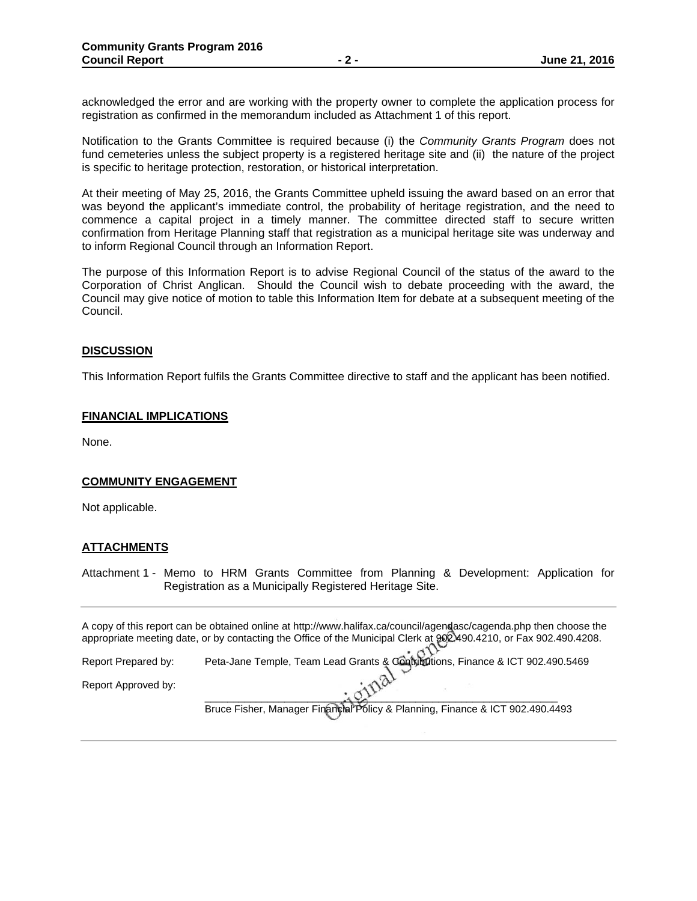acknowledged the error and are working with the property owner to complete the application process for registration as confirmed in the memorandum included as Attachment 1 of this report.

Notification to the Grants Committee is required because (i) the *Community Grants Program* does not fund cemeteries unless the subject property is a registered heritage site and (ii) the nature of the project is specific to heritage protection, restoration, or historical interpretation.

At their meeting of May 25, 2016, the Grants Committee upheld issuing the award based on an error that was beyond the applicant's immediate control, the probability of heritage registration, and the need to commence a capital project in a timely manner. The committee directed staff to secure written confirmation from Heritage Planning staff that registration as a municipal heritage site was underway and to inform Regional Council through an Information Report.

The purpose of this Information Report is to advise Regional Council of the status of the award to the Corporation of Christ Anglican. Should the Council wish to debate proceeding with the award, the Council may give notice of motion to table this Information Item for debate at a subsequent meeting of the Council.

## **DISCUSSION**

This Information Report fulfils the Grants Committee directive to staff and the applicant has been notified.

#### **FINANCIAL IMPLICATIONS**

None.

## **COMMUNITY ENGAGEMENT**

Not applicable.

## **ATTACHMENTS**

Attachment 1 - Memo to HRM Grants Committee from Planning & Development: Application for Registration as a Municipally Registered Heritage Site.

A copy of this report can be obtained online at http://www.halifax.ca/council/agendasc/cagenda.php then choose the appropriate meeting date, or by contacting the Office of the Municipal Clerk at 902.490.4210, or Fax 902.490.4208.

Report Prepared by: Peta-Jane Temple, Team Lead Grants & Contributions, Finance & ICT 902.490.5469

Report Approved by:

 $\frac{1}{2}$ Bruce Fisher, Manager Financial Policy & Planning, Finance & ICT 902.490.4493